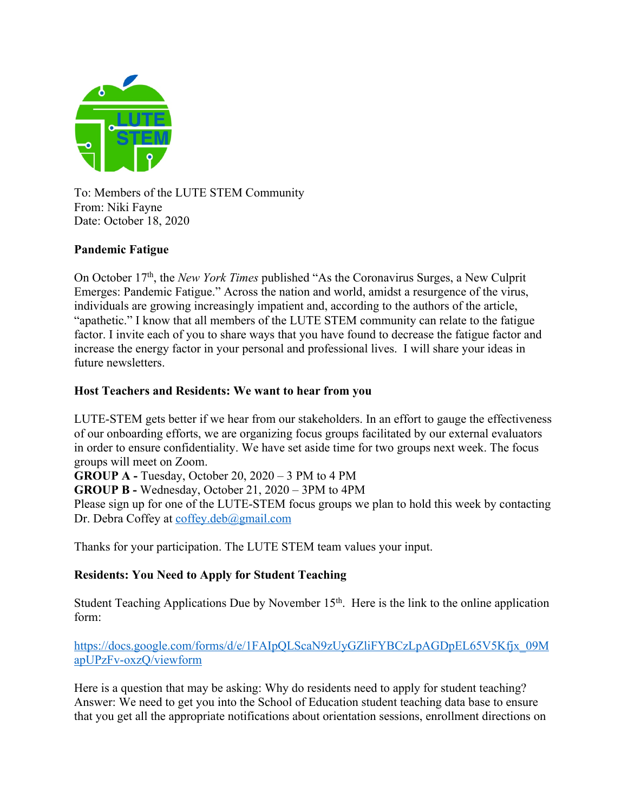

To: Members of the LUTE STEM Community From: Niki Fayne Date: October 18, 2020

### **Pandemic Fatigue**

On October 17th, the *New York Times* published "As the Coronavirus Surges, a New Culprit Emerges: Pandemic Fatigue." Across the nation and world, amidst a resurgence of the virus, individuals are growing increasingly impatient and, according to the authors of the article, "apathetic." I know that all members of the LUTE STEM community can relate to the fatigue factor. I invite each of you to share ways that you have found to decrease the fatigue factor and increase the energy factor in your personal and professional lives. I will share your ideas in future newsletters.

## **Host Teachers and Residents: We want to hear from you**

LUTE-STEM gets better if we hear from our stakeholders. In an effort to gauge the effectiveness of our onboarding efforts, we are organizing focus groups facilitated by our external evaluators in order to ensure confidentiality. We have set aside time for two groups next week. The focus groups will meet on Zoom.

**GROUP A -** Tuesday, October 20, 2020 – 3 PM to 4 PM **GROUP B -** Wednesday, October 21, 2020 – 3PM to 4PM

Please sign up for one of the LUTE-STEM focus groups we plan to hold this week by contacting Dr. Debra Coffey at coffey.deb@gmail.com

Thanks for your participation. The LUTE STEM team values your input.

# **Residents: You Need to Apply for Student Teaching**

Student Teaching Applications Due by November 15<sup>th</sup>. Here is the link to the online application form:

https://docs.google.com/forms/d/e/1FAIpQLScaN9zUyGZliFYBCzLpAGDpEL65V5Kfjx\_09M apUPzFv-oxzQ/viewform

Here is a question that may be asking: Why do residents need to apply for student teaching? Answer: We need to get you into the School of Education student teaching data base to ensure that you get all the appropriate notifications about orientation sessions, enrollment directions on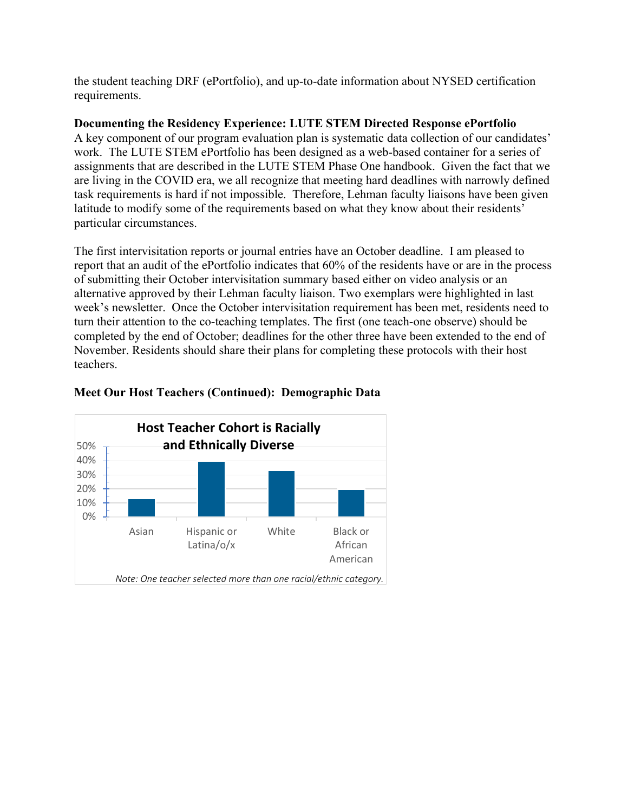the student teaching DRF (ePortfolio), and up-to-date information about NYSED certification requirements.

### **Documenting the Residency Experience: LUTE STEM Directed Response ePortfolio**

A key component of our program evaluation plan is systematic data collection of our candidates' work. The LUTE STEM ePortfolio has been designed as a web-based container for a series of assignments that are described in the LUTE STEM Phase One handbook. Given the fact that we are living in the COVID era, we all recognize that meeting hard deadlines with narrowly defined task requirements is hard if not impossible. Therefore, Lehman faculty liaisons have been given latitude to modify some of the requirements based on what they know about their residents' particular circumstances.

The first intervisitation reports or journal entries have an October deadline. I am pleased to report that an audit of the ePortfolio indicates that 60% of the residents have or are in the process of submitting their October intervisitation summary based either on video analysis or an alternative approved by their Lehman faculty liaison. Two exemplars were highlighted in last week's newsletter. Once the October intervisitation requirement has been met, residents need to turn their attention to the co-teaching templates. The first (one teach-one observe) should be completed by the end of October; deadlines for the other three have been extended to the end of November. Residents should share their plans for completing these protocols with their host teachers.



## **Meet Our Host Teachers (Continued): Demographic Data**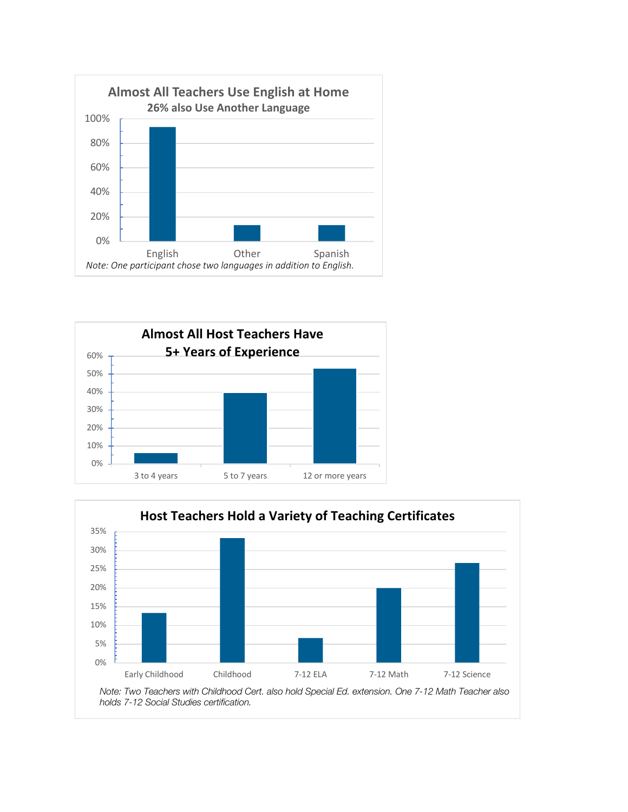